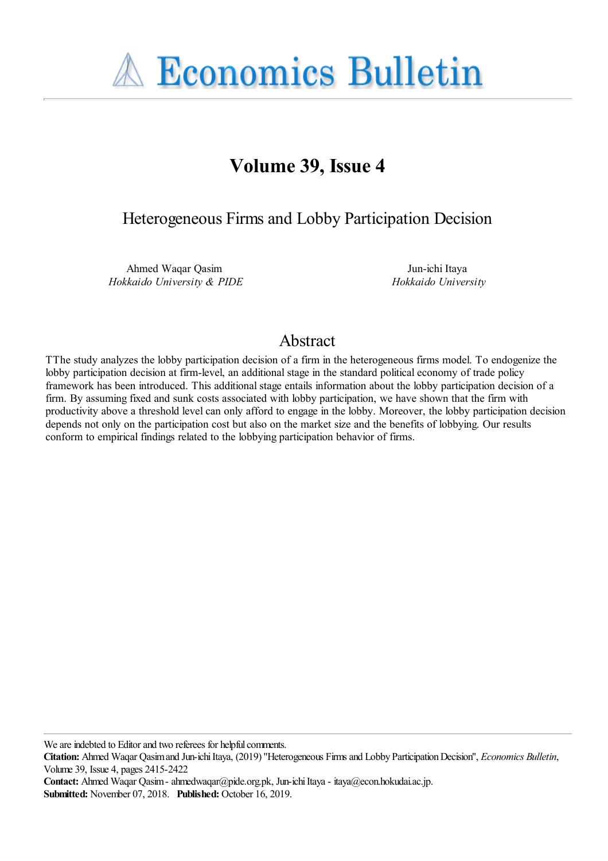**A Economics Bulletin** 

# **Volume 39, Issue 4**

Heterogeneous Firms and Lobby Participation Decision

Ahmed Waqar Qasim *Hokkaido University & PIDE*

Jun-ichi Itaya *Hokkaido University*

# Abstract

TThe study analyzes the lobby participation decision of a firm in the heterogeneous firms model. To endogenize the lobby participation decision at firm-level, an additional stage in the standard political economy of trade policy framework has been introduced. This additional stage entails information about the lobby participation decision of a firm. By assuming fixed and sunk costs associated with lobby participation, we have shown that the firm with productivity above a threshold level can only afford to engage in the lobby. Moreover, the lobby participation decision depends not only on the participation cost but also on the market size and the benefits of lobbying. Our results conform to empirical findings related to the lobbying participation behavior of firms.

We are indebted to Editor and two referees for helpful comments.

**Citation:** Ahmed Waqar Qasim and Jun-ichi Itaya, (2019) ''Heterogeneous Firms and Lobby Participation Decision'', *Economics Bulletin*, Volume 39, Issue 4, pages 2415-2422

**Contact:** Ahmed Waqar Qasim - ahmedwaqar@pide.org.pk, Jun-ichi Itaya - itaya@econ.hokudai.ac.jp.

**Submitted:** November 07, 2018. **Published:** October 16, 2019.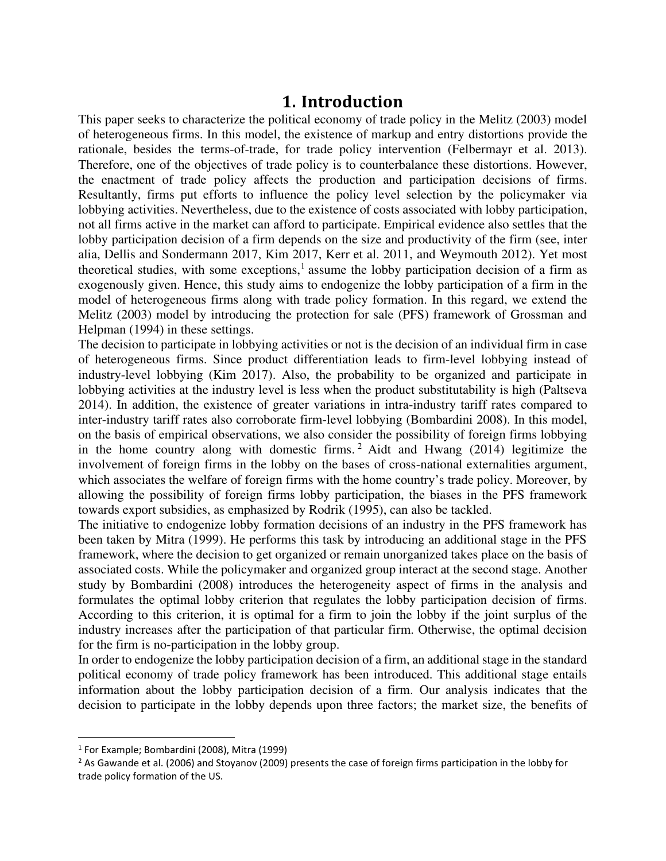## **1. Introduction**

This paper seeks to characterize the political economy of trade policy in the Melitz (2003) model of heterogeneous firms. In this model, the existence of markup and entry distortions provide the rationale, besides the terms-of-trade, for trade policy intervention (Felbermayr et al. 2013). Therefore, one of the objectives of trade policy is to counterbalance these distortions. However, the enactment of trade policy affects the production and participation decisions of firms. Resultantly, firms put efforts to influence the policy level selection by the policymaker via lobbying activities. Nevertheless, due to the existence of costs associated with lobby participation, not all firms active in the market can afford to participate. Empirical evidence also settles that the lobby participation decision of a firm depends on the size and productivity of the firm (see, inter alia, Dellis and Sondermann 2017, Kim 2017, Kerr et al. 2011, and Weymouth 2012). Yet most theoretical studies, with some exceptions,<sup>1</sup> assume the lobby participation decision of a firm as exogenously given. Hence, this study aims to endogenize the lobby participation of a firm in the model of heterogeneous firms along with trade policy formation. In this regard, we extend the Melitz (2003) model by introducing the protection for sale (PFS) framework of Grossman and Helpman (1994) in these settings.

The decision to participate in lobbying activities or not is the decision of an individual firm in case of heterogeneous firms. Since product differentiation leads to firm-level lobbying instead of industry-level lobbying (Kim 2017). Also, the probability to be organized and participate in lobbying activities at the industry level is less when the product substitutability is high (Paltseva 2014). In addition, the existence of greater variations in intra-industry tariff rates compared to inter-industry tariff rates also corroborate firm-level lobbying (Bombardini 2008). In this model, on the basis of empirical observations, we also consider the possibility of foreign firms lobbying in the home country along with domestic firms. <sup>2</sup> Aidt and Hwang (2014) legitimize the involvement of foreign firms in the lobby on the bases of cross-national externalities argument, which associates the welfare of foreign firms with the home country's trade policy. Moreover, by allowing the possibility of foreign firms lobby participation, the biases in the PFS framework towards export subsidies, as emphasized by Rodrik (1995), can also be tackled.

The initiative to endogenize lobby formation decisions of an industry in the PFS framework has been taken by Mitra (1999). He performs this task by introducing an additional stage in the PFS framework, where the decision to get organized or remain unorganized takes place on the basis of associated costs. While the policymaker and organized group interact at the second stage. Another study by Bombardini (2008) introduces the heterogeneity aspect of firms in the analysis and formulates the optimal lobby criterion that regulates the lobby participation decision of firms. According to this criterion, it is optimal for a firm to join the lobby if the joint surplus of the industry increases after the participation of that particular firm. Otherwise, the optimal decision for the firm is no-participation in the lobby group.

In order to endogenize the lobby participation decision of a firm, an additional stage in the standard political economy of trade policy framework has been introduced. This additional stage entails information about the lobby participation decision of a firm. Our analysis indicates that the decision to participate in the lobby depends upon three factors; the market size, the benefits of

<sup>1</sup> For Example; Bombardini (2008), Mitra (1999)

<sup>&</sup>lt;sup>2</sup> As Gawande et al. (2006) and Stoyanov (2009) presents the case of foreign firms participation in the lobby for trade policy formation of the US.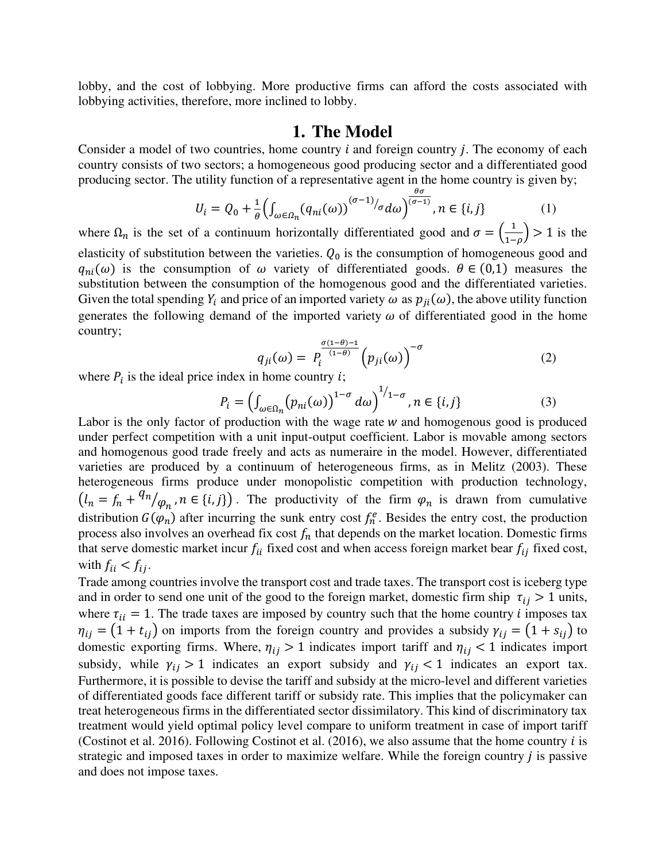lobby, and the cost of lobbying. More productive firms can afford the costs associated with lobbying activities, therefore, more inclined to lobby.

### **1. The Model**

Consider a model of two countries, home country  $i$  and foreign country  $j$ . The economy of each country consists of two sectors; a homogeneous good producing sector and a differentiated good producing sector. The utility function of a representative agent in the home country is given by;

$$
U_i = Q_0 + \frac{1}{\theta} \left( \int_{\omega \in \Omega_n} (q_{ni}(\omega))^{(\sigma - 1)}/\sigma d\omega \right)^{\frac{\theta \sigma}{(\sigma - 1)}}, n \in \{i, j\}
$$
 (1)

where  $\Omega_n$  is the set of a continuum horizontally differentiated good and  $\sigma = \left(\frac{1}{1-\rho}\right) > 1$  is the elasticity of substitution between the varieties.  $Q_0$  is the consumption of homogeneous good and  $q_{ni}(\omega)$  is the consumption of  $\omega$  variety of differentiated goods.  $\theta \in (0,1)$  measures the substitution between the consumption of the homogenous good and the differentiated varieties. Given the total spending  $Y_i$  and price of an imported variety  $\omega$  as  $p_{ji}(\omega)$ , the above utility function generates the following demand of the imported variety  $\omega$  of differentiated good in the home country;

$$
q_{ji}(\omega) = P_i^{\frac{\sigma(1-\theta)-1}{(1-\theta)}} \left( p_{ji}(\omega) \right)^{-\sigma} \tag{2}
$$

where  $P_i$  is the ideal price index in home country *i*;

$$
P_i = \left(\int_{\omega \in \Omega_n} (p_{ni}(\omega))^{1-\sigma} d\omega\right)^{1/\sigma}, n \in \{i, j\}
$$
 (3)

Labor is the only factor of production with the wage rate  $w$  and homogenous good is produced under perfect competition with a unit input-output coefficient. Labor is movable among sectors and homogenous good trade freely and acts as numeraire in the model. However, differentiated varieties are produced by a continuum of heterogeneous firms, as in Melitz (2003). These heterogeneous firms produce under monopolistic competition with production technology,  $(l_n = f_n + \frac{q_n}{n})$  $\varphi_n$ ,  $n \in \{i, j\}$ . The productivity of the firm  $\varphi_n$  is drawn from cumulative distribution  $G(\varphi_n)$  after incurring the sunk entry cost  $f_n^e$ . Besides the entry cost, the production process also involves an overhead fix cost  $f_n$  that depends on the market location. Domestic firms that serve domestic market incur  $f_{ii}$  fixed cost and when access foreign market bear  $f_{ij}$  fixed cost, with  $f_{ii} < f_{ij}$ .

Trade among countries involve the transport cost and trade taxes. The transport cost is iceberg type and in order to send one unit of the good to the foreign market, domestic firm ship  $\tau_{ij} > 1$  units, where  $\tau_{ii} = 1$ . The trade taxes are imposed by country such that the home country *i* imposes tax  $\eta_{ij} = (1 + t_{ij})$  on imports from the foreign country and provides a subsidy  $\gamma_{ij} = (1 + s_{ij})$  to domestic exporting firms. Where,  $\eta_{ij} > 1$  indicates import tariff and  $\eta_{ij} < 1$  indicates import subsidy, while  $\gamma_{ij} > 1$  indicates an export subsidy and  $\gamma_{ij} < 1$  indicates an export tax. Furthermore, it is possible to devise the tariff and subsidy at the micro-level and different varieties of differentiated goods face different tariff or subsidy rate. This implies that the policymaker can treat heterogeneous firms in the differentiated sector dissimilatory. This kind of discriminatory tax treatment would yield optimal policy level compare to uniform treatment in case of import tariff (Costinot et al. 2016). Following Costinot et al.  $(2016)$ , we also assume that the home country *i* is strategic and imposed taxes in order to maximize welfare. While the foreign country  $j$  is passive and does not impose taxes.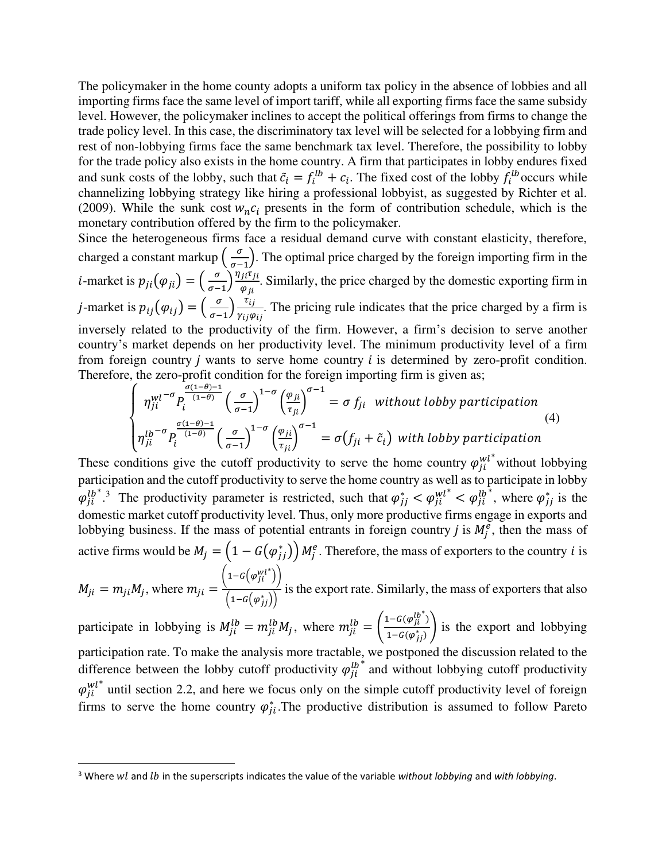The policymaker in the home county adopts a uniform tax policy in the absence of lobbies and all importing firms face the same level of import tariff, while all exporting firms face the same subsidy level. However, the policymaker inclines to accept the political offerings from firms to change the trade policy level. In this case, the discriminatory tax level will be selected for a lobbying firm and rest of non-lobbying firms face the same benchmark tax level. Therefore, the possibility to lobby for the trade policy also exists in the home country. A firm that participates in lobby endures fixed and sunk costs of the lobby, such that  $\tilde{c}_i = f_i^{lb} + c_i$ . The fixed cost of the lobby  $f_i^{lb}$  occurs while channelizing lobbying strategy like hiring a professional lobbyist, as suggested by Richter et al. (2009). While the sunk cost  $w_n c_i$  presents in the form of contribution schedule, which is the monetary contribution offered by the firm to the policymaker.

Since the heterogeneous firms face a residual demand curve with constant elasticity, therefore, charged a constant markup  $\left(\frac{\sigma}{\sigma-1}\right)$ . The optimal price charged by the foreign importing firm in the *i*-market is  $p_{ji}(\varphi_{ji}) = \left(\frac{\sigma}{\sigma-1}\right) \frac{\eta_{ji}\tau_{ji}}{\varphi_{ji}}$  $\varphi_{ji}$ . Similarly, the price charged by the domestic exporting firm in *j*-market is  $p_{ij}(\varphi_{ij}) = \left(\frac{\sigma}{\sigma - 1}\right) \frac{\tau_{ij}}{\gamma_{ij} \varphi}$ Yij $\varphi$ ij . The pricing rule indicates that the price charged by a firm is inversely related to the productivity of the firm. However, a firm's decision to serve another country's market depends on her productivity level. The minimum productivity level of a firm from foreign country  *wants to serve home country*  $*i*$  *is determined by zero-profit condition.* Therefore, the zero-profit condition for the foreign importing firm is given as;

$$
\begin{cases}\n\eta_{ji}^{wl-\sigma} P_i^{\frac{\sigma(1-\theta)-1}{(1-\theta)}} \left(\frac{\sigma}{\sigma-1}\right)^{1-\sigma} \left(\frac{\varphi_{ji}}{\tau_{ji}}\right)^{\sigma-1} = \sigma f_{ji} \text{ without loby participation} \\
\eta_{ji}^{lb-\sigma} P_i^{\frac{\sigma(1-\theta)-1}{(1-\theta)}} \left(\frac{\sigma}{\sigma-1}\right)^{1-\sigma} \left(\frac{\varphi_{ji}}{\tau_{ji}}\right)^{\sigma-1} = \sigma(f_{ji} + \tilde{c}_i) \text{ with lobby participation}\n\end{cases}
$$
\n(4)

These conditions give the cutoff productivity to serve the home country  $\varphi_{ji}^{wl^*}$  without lobbying participation and the cutoff productivity to serve the home country as well as to participate in lobby  $\varphi_{ji}^{lb^*}$ .<sup>3</sup> The productivity parameter is restricted, such that  $\varphi_{jj}^* < \varphi_{ji}^{wl^*} < \varphi_{ji}^{lb^*}$ , where  $\varphi_{jj}^*$  is the domestic market cutoff productivity level. Thus, only more productive firms engage in exports and lobbying business. If the mass of potential entrants in foreign country *j* is  $M_j^e$ , then the mass of active firms would be  $M_j = \left(1 - G(\varphi_{jj}^*)\right) M_j^e$ . Therefore, the mass of exporters to the country *i* is

$$
M_{ji} = m_{ji} M_j
$$
, where  $m_{ji} = \frac{\left(1 - G(\varphi_{ji}^{wt^*})\right)}{\left(1 - G(\varphi_{jj}^*)\right)}$  is the export rate. Similarly, the mass of exporters that also

participate in lobbying is  $M_{ji}^{lb} = m_{ji}^{lb} M_j$ , where  $m_{ji}^{lb} = \left(\frac{1 - G(\varphi_{ji}^{lb})}{1 - G(\varphi_{ii}^*)}\right)$  $\frac{f^2(G(\varphi_f^T))}{1 - G(\varphi_{j})}$  is the export and lobbying participation rate. To make the analysis more tractable, we postponed the discussion related to the difference between the lobby cutoff productivity  $\varphi_{ji}^{lb*}$  and without lobbying cutoff productivity  $\varphi_{ji}^{wl^*}$  until section 2.2, and here we focus only on the simple cutoff productivity level of foreign firms to serve the home country  $\varphi_{ji}^*$ . The productive distribution is assumed to follow Pareto

<sup>&</sup>lt;sup>3</sup> Where wl and lb in the superscripts indicates the value of the variable without lobbying and with lobbying.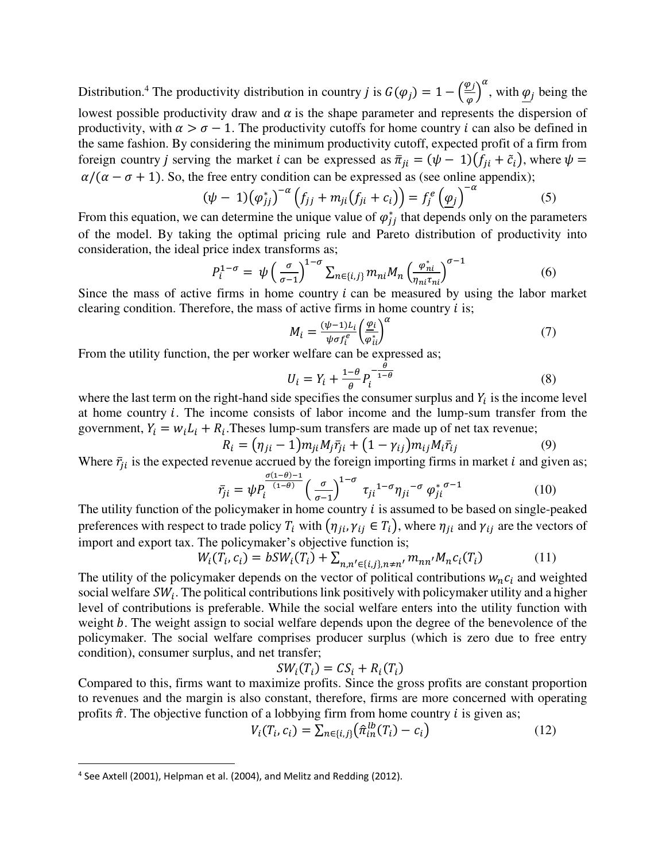Distribution.<sup>4</sup> The productivity distribution in country *j* is  $G(\varphi_j) = 1 - \left(\frac{\varphi_j}{\varphi}\right)$  $\alpha$ , with  $q_j$  being the lowest possible productivity draw and  $\alpha$  is the shape parameter and represents the dispersion of productivity, with  $\alpha > \sigma - 1$ . The productivity cutoffs for home country *i* can also be defined in the same fashion. By considering the minimum productivity cutoff, expected profit of a firm from foreign country *j* serving the market *i* can be expressed as  $\bar{\pi}_{ii} = (\psi - 1)(f_{ii} + \tilde{c}_i)$ , where  $\psi =$  $\alpha/(\alpha - \sigma + 1)$ . So, the free entry condition can be expressed as (see online appendix);

$$
(\psi - 1)(\varphi_{jj}^*)^{-\alpha} \left(f_{jj} + m_{ji}(f_{ji} + c_i)\right) = f_j^e \left(\underline{\varphi}_j\right)^{-\alpha} \tag{5}
$$

From this equation, we can determine the unique value of  $\varphi_{jj}^{*}$  that depends only on the parameters of the model. By taking the optimal pricing rule and Pareto distribution of productivity into consideration, the ideal price index transforms as;

$$
P_i^{1-\sigma} = \psi\left(\frac{\sigma}{\sigma-1}\right)^{1-\sigma} \sum_{n \in \{i,j\}} m_{ni} M_n \left(\frac{\varphi_{ni}^*}{\eta_{ni}\tau_{ni}}\right)^{\sigma-1} \tag{6}
$$

Since the mass of active firms in home country  $i$  can be measured by using the labor market clearing condition. Therefore, the mass of active firms in home country  $i$  is;

$$
M_i = \frac{(\psi - 1)L_i}{\psi \sigma f_i^e} \left(\frac{\varphi_i}{\varphi_{ii}^*}\right)^{\alpha} \tag{7}
$$

From the utility function, the per worker welfare can be expressed as;

$$
U_i = Y_i + \frac{1-\theta}{\theta} P_i^{-\frac{\theta}{1-\theta}}
$$
\n
$$
\tag{8}
$$

where the last term on the right-hand side specifies the consumer surplus and  $Y_i$  is the income level at home country  $i$ . The income consists of labor income and the lump-sum transfer from the government,  $Y_i = w_i L_i + R_i$ . Theses lump-sum transfers are made up of net tax revenue;

$$
R_{i} = (\eta_{ji} - 1)m_{ji}M_{j}\bar{r}_{ji} + (1 - \gamma_{ij})m_{ij}M_{i}\bar{r}_{ij}
$$
\n(9)

Where  $\bar{r}_{ji}$  is the expected revenue accrued by the foreign importing firms in market *i* and given as;

$$
\bar{r}_{ji} = \psi P_i^{\frac{\sigma(1-\theta)-1}{(1-\theta)}} \left(\frac{\sigma}{\sigma-1}\right)^{1-\sigma} \tau_{ji}^{1-\sigma} \eta_{ji}^{-\sigma} \varphi_{ji}^{* \sigma-1}
$$
\n(10)

The utility function of the policymaker in home country  $i$  is assumed to be based on single-peaked preferences with respect to trade policy  $T_i$  with  $(\eta_{ji}, \gamma_{ij} \in T_i)$ , where  $\eta_{ji}$  and  $\gamma_{ij}$  are the vectors of import and export tax. The policymaker's objective function is;

$$
W_i(T_i, c_i) = bSW_i(T_i) + \sum_{n, n' \in \{i, j\}, n \neq n'} m_{nn'} M_n c_i(T_i)
$$
(11)

The utility of the policymaker depends on the vector of political contributions  $w_n c_i$  and weighted social welfare  $SW_i$ . The political contributions link positively with policymaker utility and a higher level of contributions is preferable. While the social welfare enters into the utility function with weight *b*. The weight assign to social welfare depends upon the degree of the benevolence of the policymaker. The social welfare comprises producer surplus (which is zero due to free entry condition), consumer surplus, and net transfer;

$$
SW_i(T_i) = CS_i + R_i(T_i)
$$

Compared to this, firms want to maximize profits. Since the gross profits are constant proportion to revenues and the margin is also constant, therefore, firms are more concerned with operating profits  $\hat{\pi}$ . The objective function of a lobbying firm from home country *i* is given as;

$$
V_i(T_i, c_i) = \sum_{n \in \{i, j\}} (\hat{\pi}_{in}^{lb}(T_i) - c_i)
$$
 (12)

<sup>&</sup>lt;sup>4</sup> See Axtell (2001), Helpman et al. (2004), and Melitz and Redding (2012).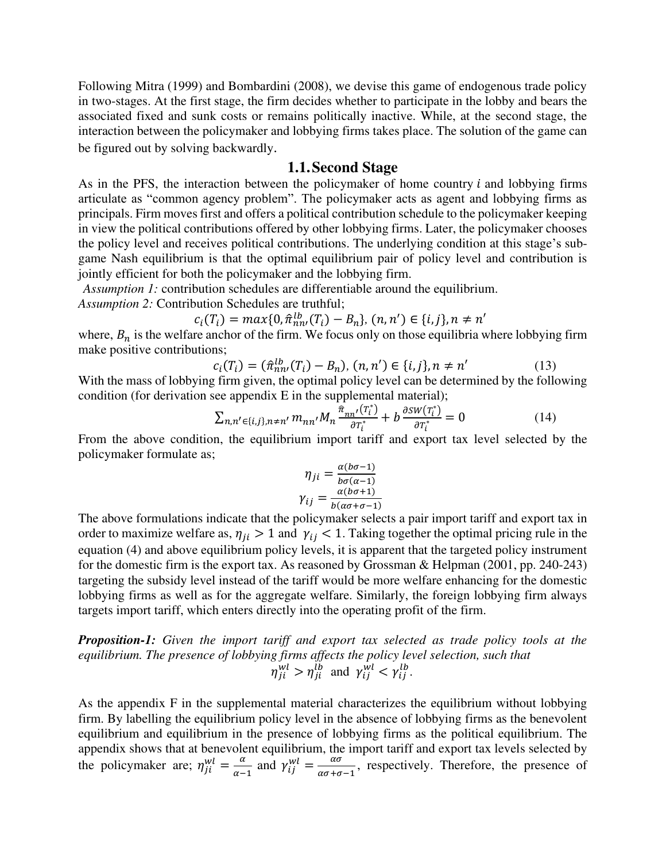Following Mitra (1999) and Bombardini (2008), we devise this game of endogenous trade policy in two-stages. At the first stage, the firm decides whether to participate in the lobby and bears the associated fixed and sunk costs or remains politically inactive. While, at the second stage, the interaction between the policymaker and lobbying firms takes place. The solution of the game can be figured out by solving backwardly.

#### **1.1.Second Stage**

As in the PFS, the interaction between the policymaker of home country  $i$  and lobbying firms articulate as "common agency problem". The policymaker acts as agent and lobbying firms as principals. Firm moves first and offers a political contribution schedule to the policymaker keeping in view the political contributions offered by other lobbying firms. Later, the policymaker chooses the policy level and receives political contributions. The underlying condition at this stage's subgame Nash equilibrium is that the optimal equilibrium pair of policy level and contribution is jointly efficient for both the policymaker and the lobbying firm.

*Assumption 1:* contribution schedules are differentiable around the equilibrium.

*Assumption 2:* Contribution Schedules are truthful;

$$
c_i(T_i) = \max\{0, \hat{\pi}_{nn}^{lb}(T_i) - B_n\}, (n, n') \in \{i, j\}, n \neq n'
$$

where,  $B_n$  is the welfare anchor of the firm. We focus only on those equilibria where lobbying firm make positive contributions;

$$
c_i(T_i) = (\hat{\pi}_{nn'}^{lb}(T_i) - B_n), (n, n') \in \{i, j\}, n \neq n'
$$
 (13)

With the mass of lobbying firm given, the optimal policy level can be determined by the following condition (for derivation see appendix E in the supplemental material);

$$
\sum_{n,n'\in\{i,j\},n\neq n'} m_{nn'} M_n \frac{\hat{\pi}_{nn'}(\tau_i^*)}{\partial \tau_i^*} + b \frac{\partial s w(\tau_i^*)}{\partial \tau_i^*} = 0 \tag{14}
$$

From the above condition, the equilibrium import tariff and export tax level selected by the policymaker formulate as;

$$
\eta_{ji} = \frac{\alpha(b\sigma - 1)}{b\sigma(\alpha - 1)}
$$

$$
\gamma_{ij} = \frac{\alpha(b\sigma + 1)}{b(\alpha\sigma + \sigma - 1)}
$$

The above formulations indicate that the policymaker selects a pair import tariff and export tax in order to maximize welfare as,  $\eta_{ii} > 1$  and  $\gamma_{ii} < 1$ . Taking together the optimal pricing rule in the equation (4) and above equilibrium policy levels, it is apparent that the targeted policy instrument for the domestic firm is the export tax. As reasoned by Grossman & Helpman (2001, pp. 240-243) targeting the subsidy level instead of the tariff would be more welfare enhancing for the domestic lobbying firms as well as for the aggregate welfare. Similarly, the foreign lobbying firm always targets import tariff, which enters directly into the operating profit of the firm.

*Proposition-1: Given the import tariff and export tax selected as trade policy tools at the equilibrium. The presence of lobbying firms affects the policy level selection, such that*   $\eta_{ji}^{wl} > \eta_{ji}^{lb}$  and  $\gamma_{ij}^{wl} < \gamma_{ij}^{lb}$ .

As the appendix F in the supplemental material characterizes the equilibrium without lobbying firm. By labelling the equilibrium policy level in the absence of lobbying firms as the benevolent equilibrium and equilibrium in the presence of lobbying firms as the political equilibrium. The appendix shows that at benevolent equilibrium, the import tariff and export tax levels selected by the policymaker are;  $\eta_{ji}^{wl} = \frac{\alpha}{\alpha - \alpha}$  $\frac{\alpha}{\alpha-1}$  and  $\gamma_{ij}^{wl} = \frac{\alpha\sigma}{\alpha\sigma+\sigma}$  $\frac{1}{\alpha\sigma+\sigma-1}$ , respectively. Therefore, the presence of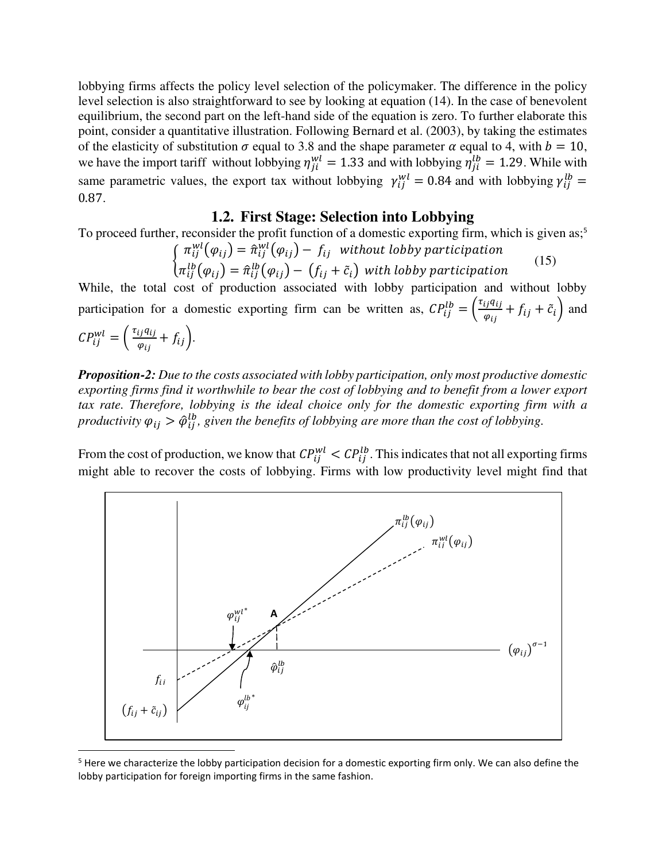lobbying firms affects the policy level selection of the policymaker. The difference in the policy level selection is also straightforward to see by looking at equation (14). In the case of benevolent equilibrium, the second part on the left-hand side of the equation is zero. To further elaborate this point, consider a quantitative illustration. Following Bernard et al. (2003), by taking the estimates of the elasticity of substitution  $\sigma$  equal to 3.8 and the shape parameter  $\alpha$  equal to 4, with  $b = 10$ , we have the import tariff without lobbying  $\eta_{ji}^{wl} = 1.33$  and with lobbying  $\eta_{ji}^{lb} = 1.29$ . While with same parametric values, the export tax without lobbying  $\gamma_{ij}^{wl} = 0.84$  and with lobbying  $\gamma_{ij}^{lb} =$  $0.87.$ 

### **1.2. First Stage: Selection into Lobbying**

To proceed further, reconsider the profit function of a domestic exporting firm, which is given as;<sup>5</sup>

$$
\begin{cases}\n\pi_{ij}^{wl}(\varphi_{ij}) = \hat{\pi}_{ij}^{wl}(\varphi_{ij}) - f_{ij} \text{ without lobby participation} \\
\pi_{ij}^{lb}(\varphi_{ij}) = \hat{\pi}_{ij}^{lb}(\varphi_{ij}) - (f_{ij} + \tilde{c}_i) \text{ with lobby participation}\n\end{cases}
$$
\n(15)

While, the total cost of production associated with lobby participation and without lobby participation for a domestic exporting firm can be written as,  $CP_{ij}^{lb} = \left(\frac{\tau_{ij}q_{ij}}{\varphi_{ij}}\right)$  $\frac{i j q_{ij}}{\varphi_{ij}} + f_{ij} + \tilde{c}_i$  and

$$
CP_{ij}^{wl} = \left(\frac{\tau_{ij}q_{ij}}{\varphi_{ij}} + f_{ij}\right).
$$

*Proposition-2: Due to the costs associated with lobby participation, only most productive domestic exporting firms find it worthwhile to bear the cost of lobbying and to benefit from a lower export tax rate. Therefore, lobbying is the ideal choice only for the domestic exporting firm with a productivity*  $\varphi_{ij} > \hat{\varphi}_{ij}^{lb}$ , given the benefits of lobbying are more than the cost of lobbying.

From the cost of production, we know that  $CP_{ij}^{wl} < CP_{ij}^{lb}$ . This indicates that not all exporting firms might able to recover the costs of lobbying. Firms with low productivity level might find that



<sup>&</sup>lt;sup>5</sup> Here we characterize the lobby participation decision for a domestic exporting firm only. We can also define the lobby participation for foreign importing firms in the same fashion.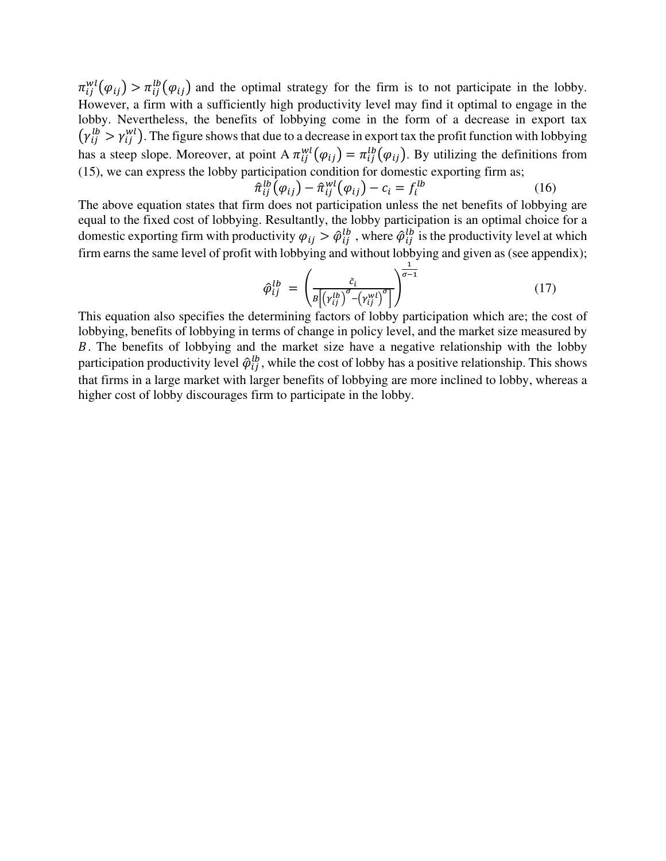$\pi_{ij}^{wl}(\varphi_{ij}) > \pi_{ij}^{lb}(\varphi_{ij})$  and the optimal strategy for the firm is to not participate in the lobby. However, a firm with a sufficiently high productivity level may find it optimal to engage in the lobby. Nevertheless, the benefits of lobbying come in the form of a decrease in export tax  $(\gamma_{ij}^{lb} > \gamma_{ij}^{wl})$ . The figure shows that due to a decrease in export tax the profit function with lobbying has a steep slope. Moreover, at point A  $\pi_{ij}^{wt}(\varphi_{ij}) = \pi_{ij}^{tb}(\varphi_{ij})$ . By utilizing the definitions from (15), we can express the lobby participation condition for domestic exporting firm as;

$$
\hat{\pi}_{ij}^{lb}(\varphi_{ij}) - \hat{\pi}_{ij}^{wl}(\varphi_{ij}) - c_i = f_i^{lb}
$$
\n(16)

The above equation states that firm does not participation unless the net benefits of lobbying are equal to the fixed cost of lobbying. Resultantly, the lobby participation is an optimal choice for a domestic exporting firm with productivity  $\varphi_{ij} > \hat{\varphi}_{ij}^{lb}$ , where  $\hat{\varphi}_{ij}^{lb}$  is the productivity level at which firm earns the same level of profit with lobbying and without lobbying and given as (see appendix);

$$
\hat{\varphi}_{ij}^{lb} = \left(\frac{\tilde{c}_i}{B\left[\left(\gamma_{ij}^{lb}\right)^{\sigma} - \left(\gamma_{ij}^{wl}\right)^{\sigma}\right]}\right)^{\frac{1}{\sigma - 1}}
$$
\n(17)

This equation also specifies the determining factors of lobby participation which are; the cost of lobbying, benefits of lobbying in terms of change in policy level, and the market size measured by ܤ. The benefits of lobbying and the market size have a negative relationship with the lobby participation productivity level  $\hat{\varphi}_{ij}^{lb}$ , while the cost of lobby has a positive relationship. This shows that firms in a large market with larger benefits of lobbying are more inclined to lobby, whereas a higher cost of lobby discourages firm to participate in the lobby.